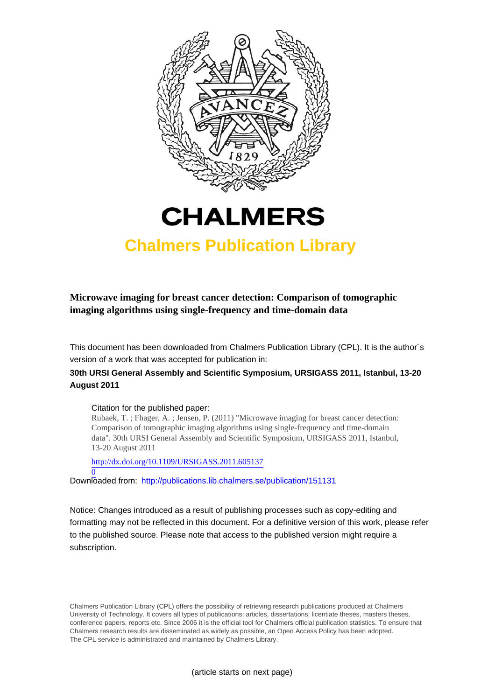



# **Chalmers Publication Library**

**Microwave imaging for breast cancer detection: Comparison of tomographic imaging algorithms using single-frequency and time-domain data**

This document has been downloaded from Chalmers Publication Library (CPL). It is the author´s version of a work that was accepted for publication in:

# **30th URSI General Assembly and Scientific Symposium, URSIGASS 2011, Istanbul, 13-20 August 2011**

#### Citation for the published paper:

Rubaek, T. ; Fhager, A. ; Jensen, P. (2011) "Microwave imaging for breast cancer detection: Comparison of tomographic imaging algorithms using single-frequency and time-domain data". 30th URSI General Assembly and Scientific Symposium, URSIGASS 2011, Istanbul, 13-20 August 2011

[http://dx.doi.org/10.1109/URSIGASS.2011.605137](http://dx.doi.org/10.1109/URSIGASS.2011.6051370)

[0](http://dx.doi.org/10.1109/URSIGASS.2011.6051370) Downloaded from: <http://publications.lib.chalmers.se/publication/151131>

Notice: Changes introduced as a result of publishing processes such as copy-editing and formatting may not be reflected in this document. For a definitive version of this work, please refer to the published source. Please note that access to the published version might require a subscription.

Chalmers Publication Library (CPL) offers the possibility of retrieving research publications produced at Chalmers University of Technology. It covers all types of publications: articles, dissertations, licentiate theses, masters theses, conference papers, reports etc. Since 2006 it is the official tool for Chalmers official publication statistics. To ensure that Chalmers research results are disseminated as widely as possible, an Open Access Policy has been adopted. The CPL service is administrated and maintained by Chalmers Library.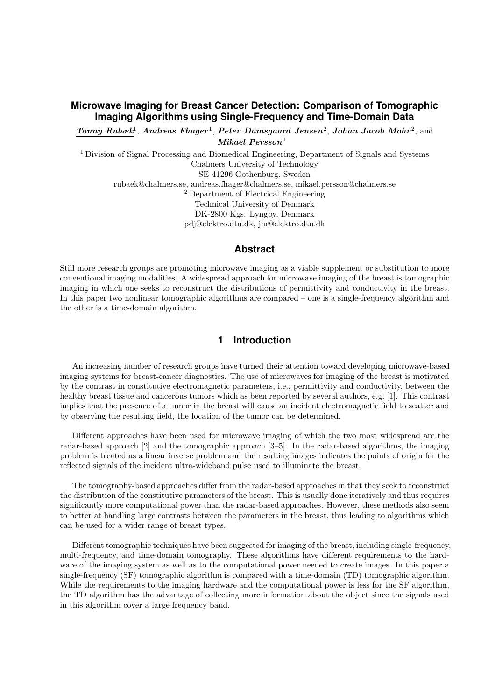# **Microwave Imaging for Breast Cancer Detection: Comparison of Tomographic Imaging Algorithms using Single-Frequency and Time-Domain Data**

Tonny Rubæk<sup>1</sup>, Andreas Fhager<sup>1</sup>, Peter Damsgaard Jensen<sup>2</sup>, Johan Jacob Mohr<sup>2</sup>, and  $Mikael$   $Person<sup>1</sup>$ 

<sup>1</sup> Division of Signal Processing and Biomedical Engineering, Department of Signals and Systems Chalmers University of Technology SE-41296 Gothenburg, Sweden rubaek@chalmers.se, andreas.fhager@chalmers.se, mikael.persson@chalmers.se <sup>2</sup> Department of Electrical Engineering Technical University of Denmark DK-2800 Kgs. Lyngby, Denmark pdj@elektro.dtu.dk, jm@elektro.dtu.dk

### **Abstract**

Still more research groups are promoting microwave imaging as a viable supplement or substitution to more conventional imaging modalities. A widespread approach for microwave imaging of the breast is tomographic imaging in which one seeks to reconstruct the distributions of permittivity and conductivity in the breast. In this paper two nonlinear tomographic algorithms are compared – one is a single-frequency algorithm and the other is a time-domain algorithm.

## **1 Introduction**

An increasing number of research groups have turned their attention toward developing microwave-based imaging systems for breast-cancer diagnostics. The use of microwaves for imaging of the breast is motivated by the contrast in constitutive electromagnetic parameters, i.e., permittivity and conductivity, between the healthy breast tissue and cancerous tumors which as been reported by several authors, e.g. [1]. This contrast implies that the presence of a tumor in the breast will cause an incident electromagnetic field to scatter and by observing the resulting field, the location of the tumor can be determined.

Different approaches have been used for microwave imaging of which the two most widespread are the radar-based approach [2] and the tomographic approach [3–5]. In the radar-based algorithms, the imaging problem is treated as a linear inverse problem and the resulting images indicates the points of origin for the reflected signals of the incident ultra-wideband pulse used to illuminate the breast.

The tomography-based approaches differ from the radar-based approaches in that they seek to reconstruct the distribution of the constitutive parameters of the breast. This is usually done iteratively and thus requires significantly more computational power than the radar-based approaches. However, these methods also seem to better at handling large contrasts between the parameters in the breast, thus leading to algorithms which can be used for a wider range of breast types.

Different tomographic techniques have been suggested for imaging of the breast, including single-frequency, multi-frequency, and time-domain tomography. These algorithms have different requirements to the hardware of the imaging system as well as to the computational power needed to create images. In this paper a single-frequency (SF) tomographic algorithm is compared with a time-domain (TD) tomographic algorithm. While the requirements to the imaging hardware and the computational power is less for the SF algorithm, the TD algorithm has the advantage of collecting more information about the object since the signals used in this algorithm cover a large frequency band.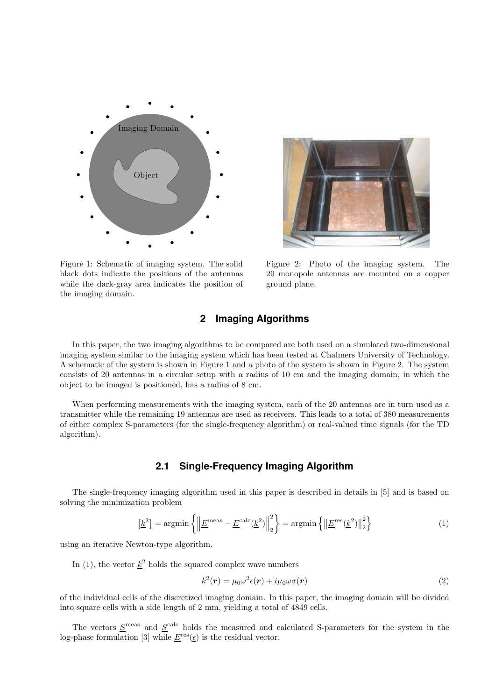

Figure 1: Schematic of imaging system. The solid black dots indicate the positions of the antennas while the dark-gray area indicates the position of the imaging domain.

Figure 2: Photo of the imaging system. The 20 monopole antennas are mounted on a copper ground plane.

# **2 Imaging Algorithms**

In this paper, the two imaging algorithms to be compared are both used on a simulated two-dimensional imaging system similar to the imaging system which has been tested at Chalmers University of Technology. A schematic of the system is shown in Figure 1 and a photo of the system is shown in Figure 2. The system consists of 20 antennas in a circular setup with a radius of 10 cm and the imaging domain, in which the object to be imaged is positioned, has a radius of 8 cm.

When performing measurements with the imaging system, each of the 20 antennas are in turn used as a transmitter while the remaining 19 antennas are used as receivers. This leads to a total of 380 measurements of either complex S-parameters (for the single-frequency algorithm) or real-valued time signals (for the TD algorithm).

## **2.1 Single-Frequency Imaging Algorithm**

The single-frequency imaging algorithm used in this paper is described in details in [5] and is based on solving the minimization problem

$$
\left[\underline{k}^2\right] = \operatorname{argmin}\left\{ \left\| \underline{E}^{\text{meas}} - \underline{E}^{\text{calc}}(\underline{k}^2) \right\|_2^2 \right\} = \operatorname{argmin}\left\{ \left\| \underline{E}^{\text{res}}(\underline{k}^2) \right\|_2^2 \right\} \tag{1}
$$

using an iterative Newton-type algorithm.

In (1), the vector  $\underline{k}^2$  holds the squared complex wave numbers

$$
k^{2}(\mathbf{r}) = \mu_{0} \omega^{2} \epsilon(\mathbf{r}) + i \mu_{0} \omega \sigma(\mathbf{r})
$$
\n(2)

of the individual cells of the discretized imaging domain. In this paper, the imaging domain will be divided into square cells with a side length of 2 mm, yielding a total of 4849 cells.

The vectors  $S<sup>meas</sup>$  and  $S<sup>calc</sup>$  holds the measured and calculated S-parameters for the system in the log-phase formulation [3] while  $\underline{E}^{\text{res}}(\underline{\epsilon})$  is the residual vector.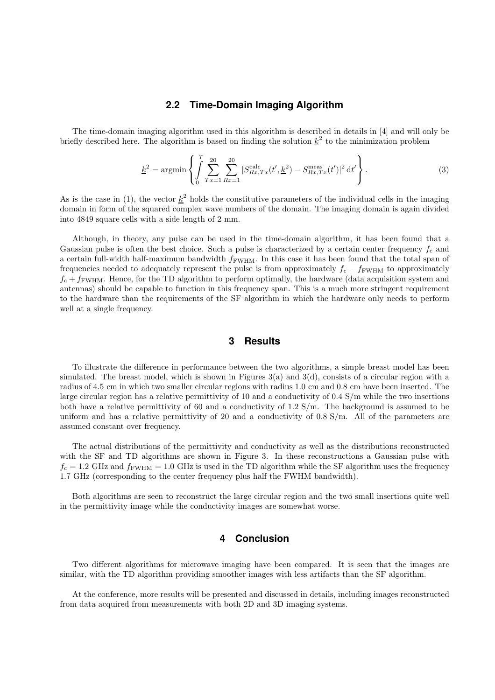#### **2.2 Time-Domain Imaging Algorithm**

The time-domain imaging algorithm used in this algorithm is described in details in [4] and will only be briefly described here. The algorithm is based on finding the solution  $k^2$  to the minimization problem

$$
\underline{k}^2 = \operatorname{argmin} \left\{ \int_0^T \sum_{Tx=1}^{20} \sum_{Rx=1}^{20} |S_{Rx,Tx}^{\text{calc}}(t', \underline{k}^2) - S_{Rx,Tx}^{\text{meas}}(t')|^2 dt' \right\}.
$$
 (3)

As is the case in (1), the vector  $k^2$  holds the constitutive parameters of the individual cells in the imaging domain in form of the squared complex wave numbers of the domain. The imaging domain is again divided into 4849 square cells with a side length of 2 mm.

Although, in theory, any pulse can be used in the time-domain algorithm, it has been found that a Gaussian pulse is often the best choice. Such a pulse is characterized by a certain center frequency  $f_c$  and a certain full-width half-maximum bandwidth  $f_{\text{FWHM}}$ . In this case it has been found that the total span of frequencies needed to adequately represent the pulse is from approximately  $f_c - f_{\text{FWHM}}$  to approximately  $f_c + f_{\text{FWHM}}$ . Hence, for the TD algorithm to perform optimally, the hardware (data acquisition system and antennas) should be capable to function in this frequency span. This is a much more stringent requirement to the hardware than the requirements of the SF algorithm in which the hardware only needs to perform well at a single frequency.

## **3 Results**

To illustrate the difference in performance between the two algorithms, a simple breast model has been simulated. The breast model, which is shown in Figures 3(a) and 3(d), consists of a circular region with a radius of 4.5 cm in which two smaller circular regions with radius 1.0 cm and 0.8 cm have been inserted. The large circular region has a relative permittivity of 10 and a conductivity of 0.4 S/m while the two insertions both have a relative permittivity of 60 and a conductivity of 1.2 S/m. The background is assumed to be uniform and has a relative permittivity of 20 and a conductivity of  $0.8 \text{ S/m}$ . All of the parameters are assumed constant over frequency.

The actual distributions of the permittivity and conductivity as well as the distributions reconstructed with the SF and TD algorithms are shown in Figure 3. In these reconstructions a Gaussian pulse with  $f_c = 1.2$  GHz and  $f_{\text{FWHM}} = 1.0$  GHz is used in the TD algorithm while the SF algorithm uses the frequency 1.7 GHz (corresponding to the center frequency plus half the FWHM bandwidth).

Both algorithms are seen to reconstruct the large circular region and the two small insertions quite well in the permittivity image while the conductivity images are somewhat worse.

#### **4 Conclusion**

Two different algorithms for microwave imaging have been compared. It is seen that the images are similar, with the TD algorithm providing smoother images with less artifacts than the SF algorithm.

At the conference, more results will be presented and discussed in details, including images reconstructed from data acquired from measurements with both 2D and 3D imaging systems.